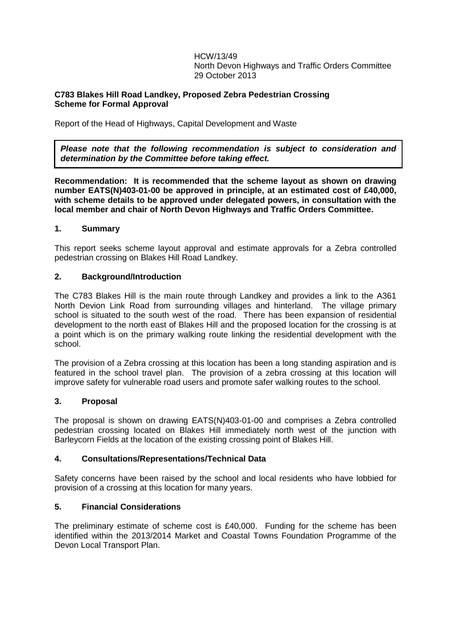HCW/13/49 North Devon Highways and Traffic Orders Committee 29 October 2013

# **C783 Blakes Hill Road Landkey, Proposed Zebra Pedestrian Crossing Scheme for Formal Approval**

Report of the Head of Highways, Capital Development and Waste

*Please note that the following recommendation is subject to consideration and determination by the Committee before taking effect.*

**Recommendation: It is recommended that the scheme layout as shown on drawing number EATS(N)403-01-00 be approved in principle, at an estimated cost of £40,000, with scheme details to be approved under delegated powers, in consultation with the local member and chair of North Devon Highways and Traffic Orders Committee.**

# **1. Summary**

This report seeks scheme layout approval and estimate approvals for a Zebra controlled pedestrian crossing on Blakes Hill Road Landkey.

# **2. Background/Introduction**

The C783 Blakes Hill is the main route through Landkey and provides a link to the A361 North Devion Link Road from surrounding villages and hinterland. The village primary school is situated to the south west of the road. There has been expansion of residential development to the north east of Blakes Hill and the proposed location for the crossing is at a point which is on the primary walking route linking the residential development with the school.

The provision of a Zebra crossing at this location has been a long standing aspiration and is featured in the school travel plan. The provision of a zebra crossing at this location will improve safety for vulnerable road users and promote safer walking routes to the school.

### **3. Proposal**

The proposal is shown on drawing EATS(N)403-01-00 and comprises a Zebra controlled pedestrian crossing located on Blakes Hill immediately north west of the junction with Barleycorn Fields at the location of the existing crossing point of Blakes Hill.

### **4. Consultations/Representations/Technical Data**

Safety concerns have been raised by the school and local residents who have lobbied for provision of a crossing at this location for many years.

# **5. Financial Considerations**

The preliminary estimate of scheme cost is £40,000. Funding for the scheme has been identified within the 2013/2014 Market and Coastal Towns Foundation Programme of the Devon Local Transport Plan.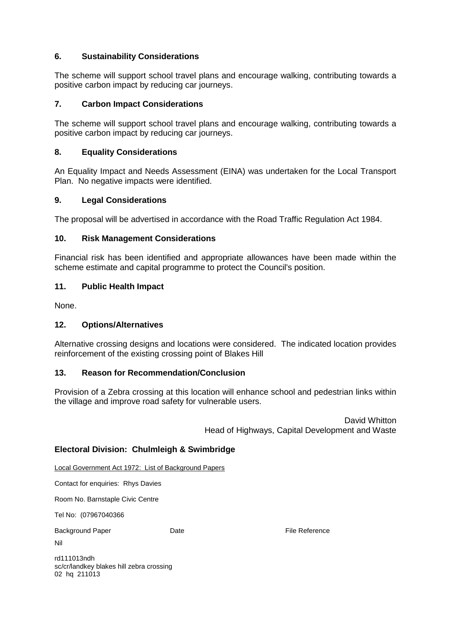# **6. Sustainability Considerations**

The scheme will support school travel plans and encourage walking, contributing towards a positive carbon impact by reducing car journeys.

# **7. Carbon Impact Considerations**

The scheme will support school travel plans and encourage walking, contributing towards a positive carbon impact by reducing car journeys.

# **8. Equality Considerations**

An Equality Impact and Needs Assessment (EINA) was undertaken for the Local Transport Plan. No negative impacts were identified.

#### **9. Legal Considerations**

The proposal will be advertised in accordance with the Road Traffic Regulation Act 1984.

#### **10. Risk Management Considerations**

Financial risk has been identified and appropriate allowances have been made within the scheme estimate and capital programme to protect the Council's position.

#### **11. Public Health Impact**

None.

### **12. Options/Alternatives**

Alternative crossing designs and locations were considered. The indicated location provides reinforcement of the existing crossing point of Blakes Hill

### **13. Reason for Recommendation/Conclusion**

Provision of a Zebra crossing at this location will enhance school and pedestrian links within the village and improve road safety for vulnerable users.

> David Whitton Head of Highways, Capital Development and Waste

### **Electoral Division: Chulmleigh & Swimbridge**

Local Government Act 1972: List of Background Papers

Contact for enquiries: Rhys Davies

Room No. Barnstaple Civic Centre

Tel No: (07967040366

Background Paper **Date Date Container Container Paper File Reference** 

Nil

rd111013ndh sc/cr/landkey blakes hill zebra crossing 02 hq 211013